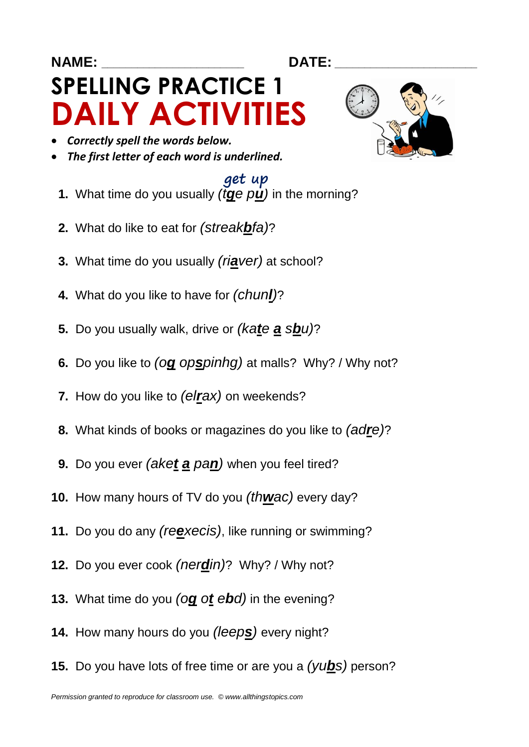#### **NAME: \_\_\_\_\_\_\_\_\_\_\_\_\_\_\_\_\_\_\_\_\_\_\_\_ DATE: \_\_\_\_\_\_\_\_\_\_\_\_\_\_\_\_\_\_\_\_\_\_\_\_**

# **SPELLING PRACTICE 1 DAILY ACTIVITIES**

- *Correctly spell the words below.*
- *The first letter of each word is underlined.*

### get up

- **1.** What time do you usually *(tge*  $pu$ *)* in the morning?
- **2.** What do like to eat for *(streakbfa)*?
- **3.** What time do you usually *(riaver)* at school?
- **4.** What do you like to have for *(chunl)*?
- **5.** Do you usually walk, drive or *(kate a sbu)*?
- **6.** Do you like to *(og opspinhg)* at malls? Why? / Why not?
- **7.** How do you like to *(elrax)* on weekends?
- **8.** What kinds of books or magazines do you like to *(adre)*?
- **9.** Do you ever *(aket a pan)* when you feel tired?
- **10.** How many hours of TV do you *(thwac)* every day?
- **11.** Do you do any *(reexecis)*, like running or swimming?
- **12.** Do you ever cook *(nerdin)*? Why? / Why not?
- **13.** What time do you *(og ot ebd)* in the evening?
- **14.** How many hours do you *(leeps)* every night?
- **15.** Do you have lots of free time or are you a *(yubs)* person?

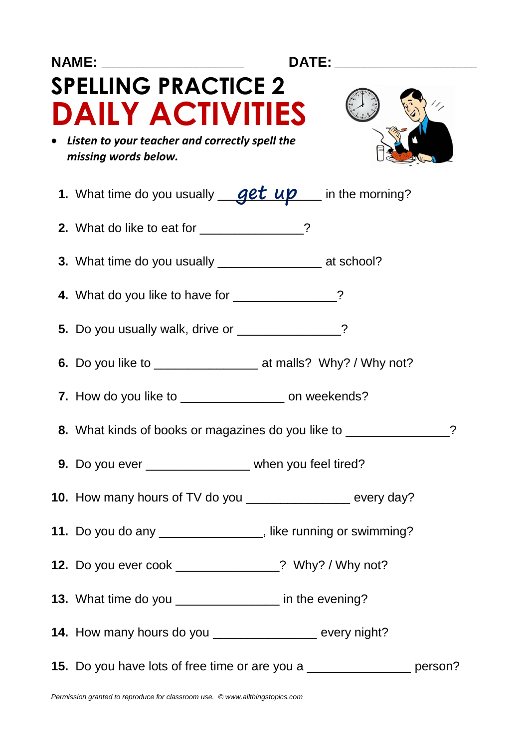| NAME: _____________________<br>DATE: ________________                    |                                                                           |  |
|--------------------------------------------------------------------------|---------------------------------------------------------------------------|--|
|                                                                          | <b>SPELLING PRACTICE 2</b><br><b>DAILY ACTIVITIES</b>                     |  |
| • Listen to your teacher and correctly spell the<br>missing words below. |                                                                           |  |
|                                                                          | 1. What time do you usually <u>get up</u> in the morning?                 |  |
|                                                                          | 2. What do like to eat for _____________?                                 |  |
|                                                                          | 3. What time do you usually ________________________ at school?           |  |
|                                                                          | 4. What do you like to have for _____________?                            |  |
|                                                                          | 5. Do you usually walk, drive or _____________?                           |  |
|                                                                          |                                                                           |  |
|                                                                          | 7. How do you like to ___________________ on weekends?                    |  |
|                                                                          | 8. What kinds of books or magazines do you like to _____________          |  |
|                                                                          | 9. Do you ever _______________ when you feel tired?                       |  |
|                                                                          | 10. How many hours of TV do you _________________ every day?              |  |
|                                                                          | 11. Do you do any ________________, like running or swimming?             |  |
|                                                                          | 12. Do you ever cook ______________? Why? / Why not?                      |  |
|                                                                          | 13. What time do you ________________ in the evening?                     |  |
|                                                                          | 14. How many hours do you ___________________ every night?                |  |
|                                                                          | 15. Do you have lots of free time or are you a __________________ person? |  |